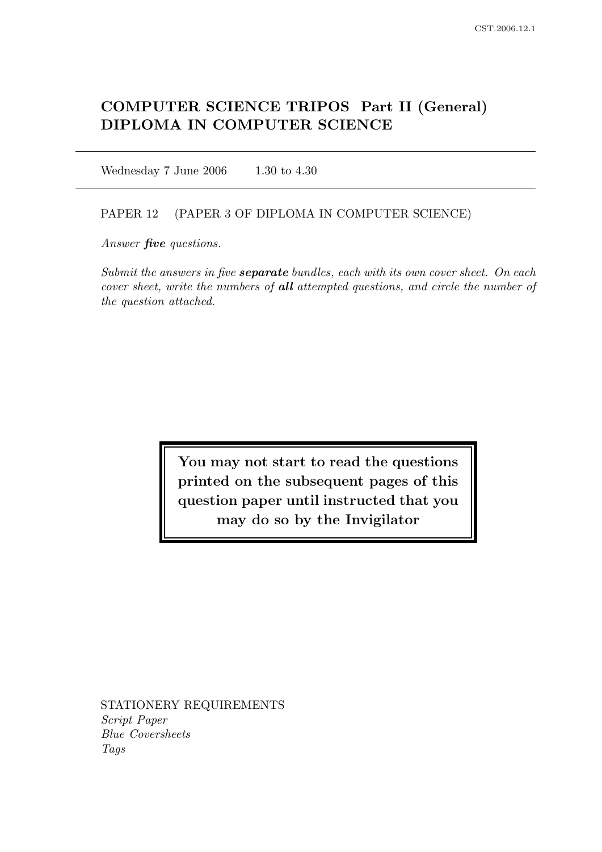# COMPUTER SCIENCE TRIPOS Part II (General) DIPLOMA IN COMPUTER SCIENCE

Wednesday 7 June 2006 1.30 to 4.30

## PAPER 12 (PAPER 3 OF DIPLOMA IN COMPUTER SCIENCE)

Answer *five* questions.

Submit the answers in five **separate** bundles, each with its own cover sheet. On each cover sheet, write the numbers of all attempted questions, and circle the number of the question attached.

> You may not start to read the questions printed on the subsequent pages of this question paper until instructed that you may do so by the Invigilator

STATIONERY REQUIREMENTS Script Paper Blue Coversheets Tags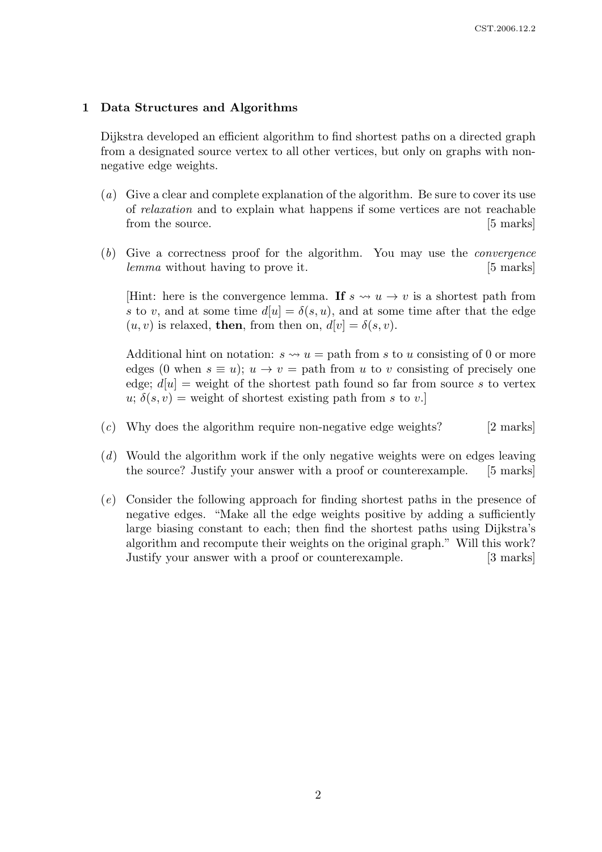## 1 Data Structures and Algorithms

Dijkstra developed an efficient algorithm to find shortest paths on a directed graph from a designated source vertex to all other vertices, but only on graphs with nonnegative edge weights.

- (a) Give a clear and complete explanation of the algorithm. Be sure to cover its use of relaxation and to explain what happens if some vertices are not reachable from the source. [5 marks]
- (b) Give a correctness proof for the algorithm. You may use the convergence lemma without having to prove it. [5 marks]

[Hint: here is the convergence lemma. If  $s \leadsto u \rightarrow v$  is a shortest path from s to v, and at some time  $d[u] = \delta(s, u)$ , and at some time after that the edge  $(u, v)$  is relaxed, then, from then on,  $d[v] = \delta(s, v)$ .

Additional hint on notation:  $s \leadsto u =$  path from s to u consisting of 0 or more edges (0 when  $s \equiv u$ );  $u \rightarrow v =$  path from u to v consisting of precisely one edge;  $d[u]$  = weight of the shortest path found so far from source s to vertex  $u; \delta(s, v) =$  weight of shortest existing path from s to v.

- $(c)$  Why does the algorithm require non-negative edge weights? [2 marks]
- (d) Would the algorithm work if the only negative weights were on edges leaving the source? Justify your answer with a proof or counterexample. [5 marks]
- (e) Consider the following approach for finding shortest paths in the presence of negative edges. "Make all the edge weights positive by adding a sufficiently large biasing constant to each; then find the shortest paths using Dijkstra's algorithm and recompute their weights on the original graph." Will this work? Justify your answer with a proof or counterexample. [3 marks]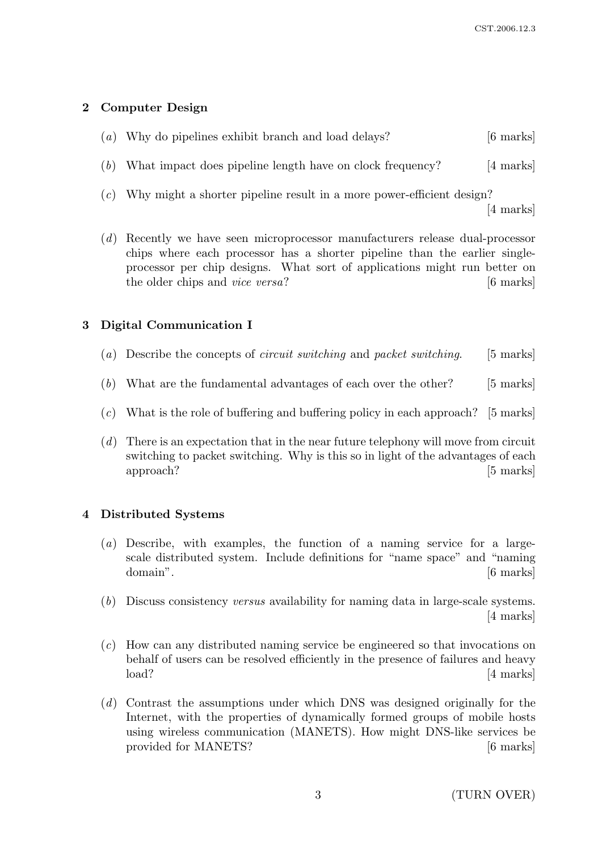# 2 Computer Design

| (a) Why do pipelines exhibit branch and load delays? | $[6 \text{ marks}]$ |
|------------------------------------------------------|---------------------|
|------------------------------------------------------|---------------------|

- (b) What impact does pipeline length have on clock frequency? [4 marks]
- (c) Why might a shorter pipeline result in a more power-efficient design? [4 marks]
- (d) Recently we have seen microprocessor manufacturers release dual-processor chips where each processor has a shorter pipeline than the earlier singleprocessor per chip designs. What sort of applications might run better on the older chips and *vice versa*? [6 marks]

# 3 Digital Communication I

- (a) Describe the concepts of *circuit switching* and *packet switching*. [5 marks]
- (b) What are the fundamental advantages of each over the other? [5 marks]
- $(c)$  What is the role of buffering and buffering policy in each approach? [5 marks]
- (d) There is an expectation that in the near future telephony will move from circuit switching to packet switching. Why is this so in light of the advantages of each approach? [5 marks]

## 4 Distributed Systems

- (a) Describe, with examples, the function of a naming service for a largescale distributed system. Include definitions for "name space" and "naming domain". [6 marks]
- (b) Discuss consistency versus availability for naming data in large-scale systems. [4 marks]
- (c) How can any distributed naming service be engineered so that invocations on behalf of users can be resolved efficiently in the presence of failures and heavy load? [4 marks]
- (d) Contrast the assumptions under which DNS was designed originally for the Internet, with the properties of dynamically formed groups of mobile hosts using wireless communication (MANETS). How might DNS-like services be provided for MANETS? [6 marks]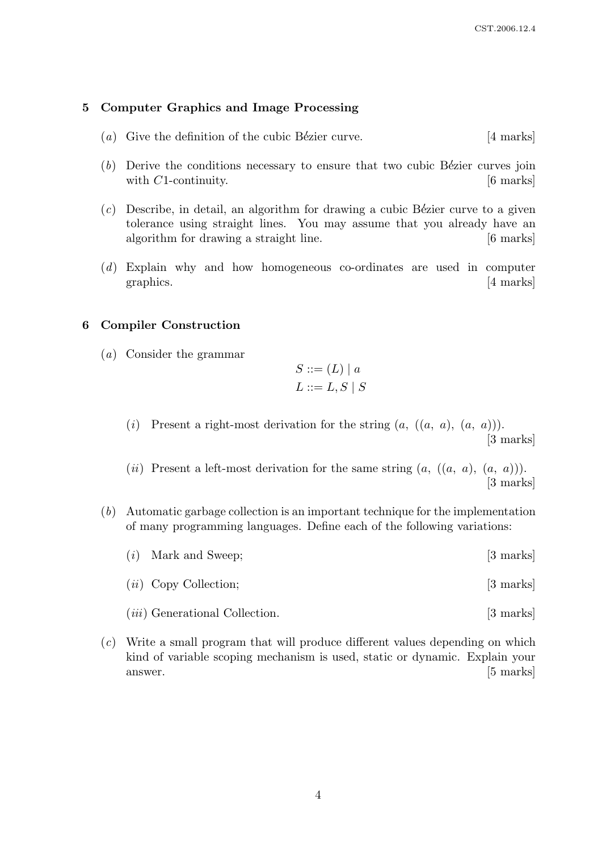### 5 Computer Graphics and Image Processing

- (a) Give the definition of the cubic Bézier curve.  $[4 \text{ marks}]$
- $(b)$  Derive the conditions necessary to ensure that two cubic Bézier curves join with  $C1$ -continuity.  $[6 \text{ marks}]$
- $(c)$  Describe, in detail, an algorithm for drawing a cubic Bézier curve to a given tolerance using straight lines. You may assume that you already have an algorithm for drawing a straight line. [6 marks]
- (d) Explain why and how homogeneous co-ordinates are used in computer graphics. [4 marks]

## 6 Compiler Construction

(a) Consider the grammar

$$
S ::= (L) | a
$$

$$
L ::= L, S | S
$$

- (i) Present a right-most derivation for the string  $(a, ((a, a), (a, a))).$ [3 marks]
- (ii) Present a left-most derivation for the same string  $(a, ((a, a), (a, a))).$ [3 marks]
- (b) Automatic garbage collection is an important technique for the implementation of many programming languages. Define each of the following variations:
	- (i) Mark and Sweep; [3 marks]
	- (*ii*) Copy Collection; [3 marks]
	- (*iii*) Generational Collection. [3 marks]
- (c) Write a small program that will produce different values depending on which kind of variable scoping mechanism is used, static or dynamic. Explain your answer. [5 marks]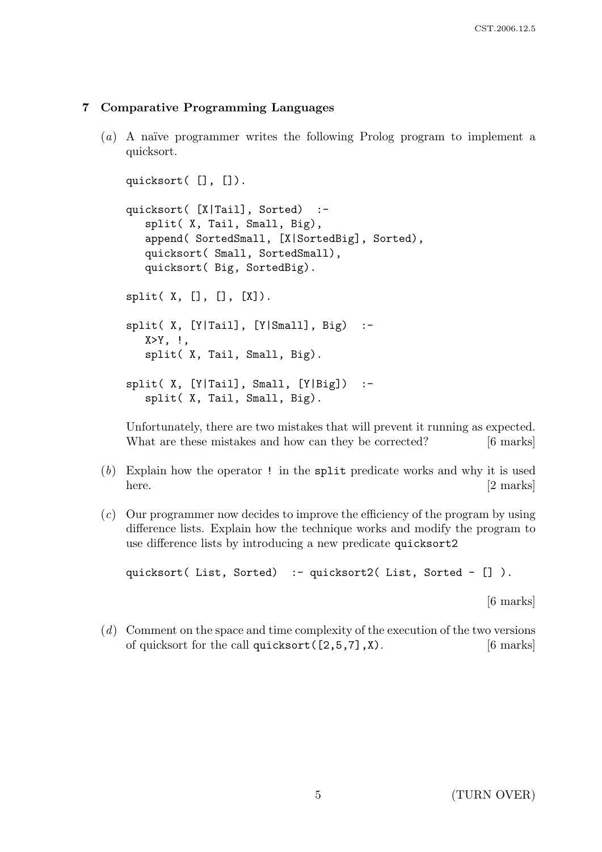# 7 Comparative Programming Languages

 $(a)$  A naïve programmer writes the following Prolog program to implement a quicksort.

```
quicksort( [], []).
quicksort( [X|Tail], Sorted) :-
   split( X, Tail, Small, Big),
   append( SortedSmall, [X|SortedBig], Sorted),
   quicksort( Small, SortedSmall),
   quicksort( Big, SortedBig).
split([X, [], [], [X]).split( X, [Y|Tail], [Y|Small], Big) :-
   X>Y, \vdotssplit( X, Tail, Small, Big).
split(X, [Y|Tail], Small, [Y|Big]) :-
   split( X, Tail, Small, Big).
```
Unfortunately, there are two mistakes that will prevent it running as expected. What are these mistakes and how can they be corrected? [6 marks]

- (b) Explain how the operator ! in the split predicate works and why it is used here. [2 marks]
- (c) Our programmer now decides to improve the efficiency of the program by using difference lists. Explain how the technique works and modify the program to use difference lists by introducing a new predicate quicksort2

quicksort( List, Sorted) :- quicksort2( List, Sorted - []).

[6 marks]

(d) Comment on the space and time complexity of the execution of the two versions of quicksort for the call quicksort  $(2,5,7]$ , X). [6 marks]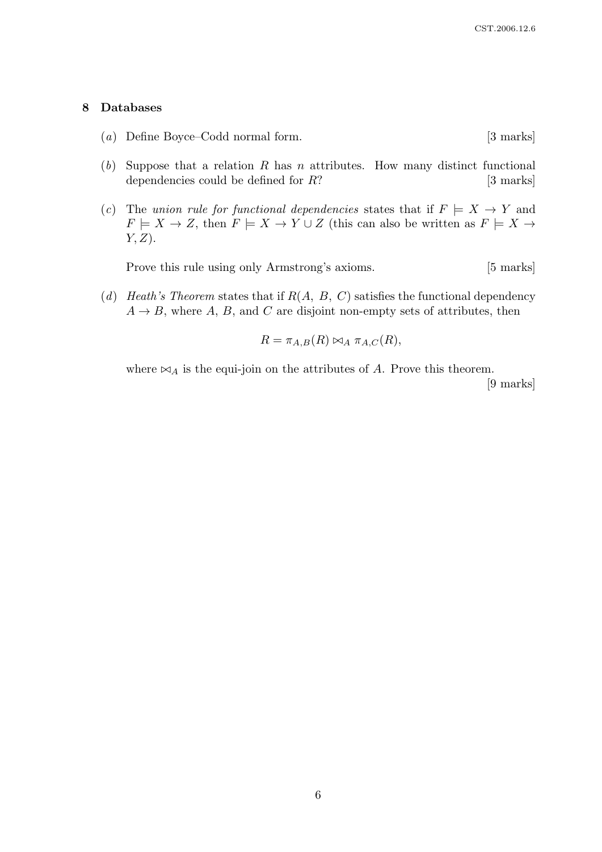#### 8 Databases

- (a) Define Boyce–Codd normal form. [3 marks]
- (b) Suppose that a relation R has n attributes. How many distinct functional dependencies could be defined for  $R$ ? [3 marks]
- (c) The union rule for functional dependencies states that if  $F \models X \rightarrow Y$  and  $F \models X \to Z$ , then  $F \models X \to Y \cup Z$  (this can also be written as  $F \models X \to Y$  $Y, Z$ ).

Prove this rule using only Armstrong's axioms. [5 marks]

(d) Heath's Theorem states that if  $R(A, B, C)$  satisfies the functional dependency  $A \rightarrow B$ , where A, B, and C are disjoint non-empty sets of attributes, then

$$
R = \pi_{A,B}(R) \bowtie_A \pi_{A,C}(R),
$$

where  $\bowtie_A$  is the equi-join on the attributes of A. Prove this theorem.

[9 marks]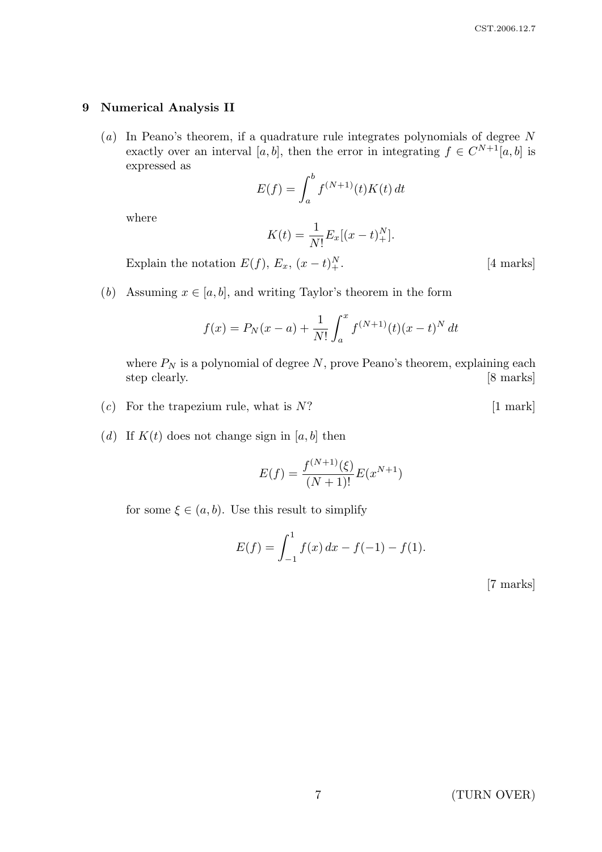### 9 Numerical Analysis II

 $(a)$  In Peano's theorem, if a quadrature rule integrates polynomials of degree N exactly over an interval [a, b], then the error in integrating  $f \in C^{N+1}[a, b]$  is expressed as

$$
E(f) = \int_a^b f^{(N+1)}(t)K(t) dt
$$

where

$$
K(t) = \frac{1}{N!} E_x[(x - t)_+^N].
$$

Explain the notation  $E(f)$ ,  $E_x$ ,  $(x-t)_+^N$ 

- $[4$  marks]
- (b) Assuming  $x \in [a, b]$ , and writing Taylor's theorem in the form

$$
f(x) = P_N(x - a) + \frac{1}{N!} \int_a^x f^{(N+1)}(t) (x - t)^N dt
$$

where  $P_N$  is a polynomial of degree N, prove Peano's theorem, explaining each step clearly. [8 marks]

- (c) For the trapezium rule, what is  $N$ ? [1 mark]
- (d) If  $K(t)$  does not change sign in [a, b] then

$$
E(f) = \frac{f^{(N+1)}(\xi)}{(N+1)!} E(x^{N+1})
$$

for some  $\xi \in (a, b)$ . Use this result to simplify

$$
E(f) = \int_{-1}^{1} f(x) dx - f(-1) - f(1).
$$

[7 marks]